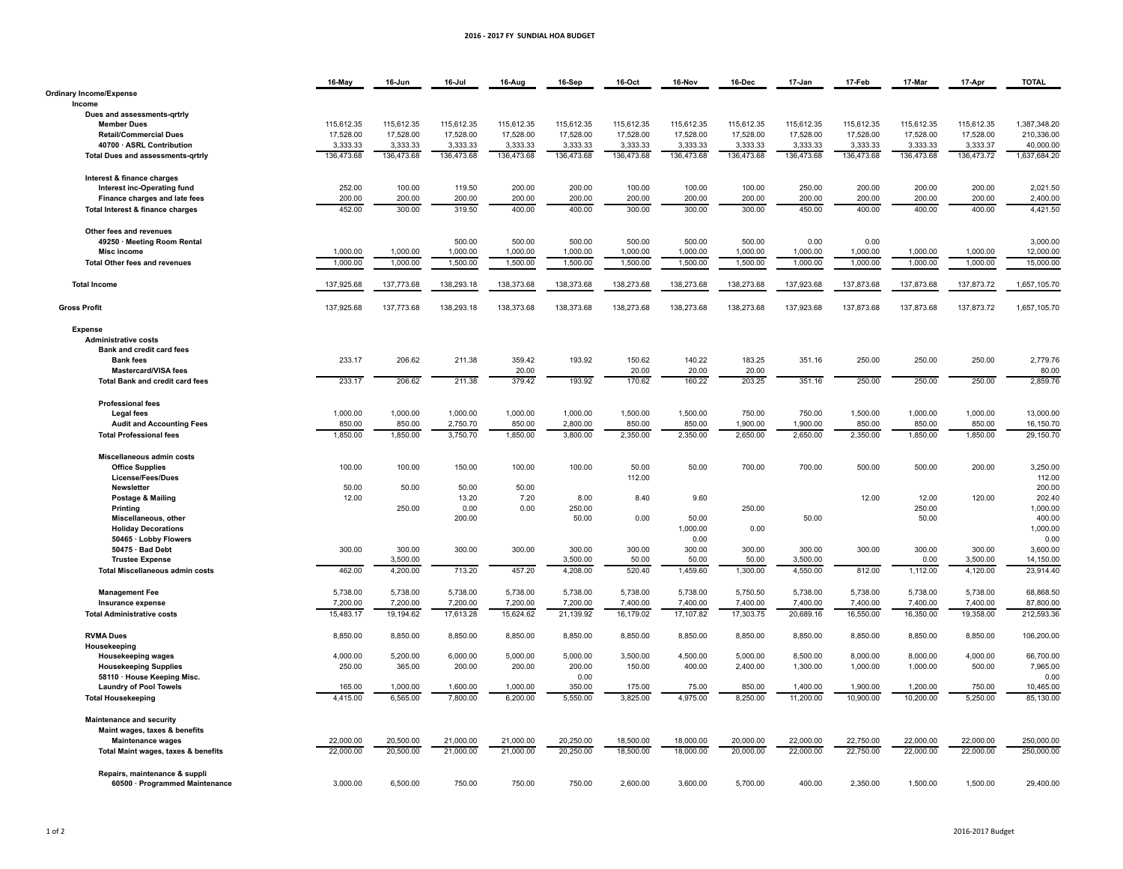## **2016%&%2017%FY%%SUNDIAL%HOA%BUDGET**

|                                                    | 16-May     | 16-Jun     | 16-Jul         | 16-Aug     | 16-Sep     | 16-Oct     | 16-Nov     | 16-Dec     | 17-Jan     | 17-Feb     | 17-Mar          | 17-Apr     | <b>TOTAL</b>       |
|----------------------------------------------------|------------|------------|----------------|------------|------------|------------|------------|------------|------------|------------|-----------------|------------|--------------------|
| <b>Ordinary Income/Expense</b>                     |            |            |                |            |            |            |            |            |            |            |                 |            |                    |
| Income                                             |            |            |                |            |            |            |            |            |            |            |                 |            |                    |
| Dues and assessments-grtrly                        |            |            |                |            |            |            |            |            |            |            |                 |            |                    |
| <b>Member Dues</b>                                 | 115,612.35 | 115,612.35 | 115,612.35     | 115,612.35 | 115,612.35 | 115,612.35 | 115,612.35 | 115,612.35 | 115,612.35 | 115,612.35 | 115,612.35      | 115,612.35 | 1,387,348.20       |
| <b>Retail/Commercial Dues</b>                      | 17,528.00  | 17,528.00  | 17,528.00      | 17,528.00  | 17,528.00  | 17,528.00  | 17,528.00  | 17,528.00  | 17,528.00  | 17,528.00  | 17,528.00       | 17,528.00  | 210,336.00         |
| 40700 · ASRL Contribution                          | 3,333.33   | 3,333.33   | 3,333.33       | 3,333.33   | 3,333.33   | 3,333.33   | 3,333.33   | 3,333.33   | 3,333.33   | 3,333.33   | 3,333.33        | 3,333.37   | 40,000.00          |
| <b>Total Dues and assessments-grtrly</b>           | 136,473.68 | 136,473.68 | 136,473.68     | 136,473.68 | 136,473.68 | 136,473.68 | 136,473.68 | 136,473.68 | 136,473.68 | 136,473.68 | 136,473.68      | 136,473.72 | 1,637,684.20       |
| Interest & finance charges                         |            |            |                |            |            |            |            |            |            |            |                 |            |                    |
| Interest inc-Operating fund                        | 252.00     | 100.00     | 119.50         | 200.00     | 200.00     | 100.00     | 100.00     | 100.00     | 250.00     | 200.00     | 200.00          | 200.00     | 2,021.50           |
| Finance charges and late fees                      | 200.00     | 200.00     | 200.00         | 200.00     | 200.00     | 200.00     | 200.00     | 200.00     | 200.00     | 200.00     | 200.00          | 200.00     | 2,400.00           |
| Total Interest & finance charges                   | 452.00     | 300.00     | 319.50         | 400.00     | 400.00     | 300.00     | 300.00     | 300.00     | 450.00     | 400.00     | 400.00          | 400.00     | 4,421.50           |
|                                                    |            |            |                |            |            |            |            |            |            |            |                 |            |                    |
| Other fees and revenues                            |            |            |                |            |            |            |            |            |            |            |                 |            |                    |
| 49250 · Meeting Room Rental                        |            |            | 500.00         | 500.00     | 500.00     | 500.00     | 500.00     | 500.00     | 0.00       | 0.00       |                 |            | 3,000.00           |
| <b>Misc income</b>                                 | 1,000.00   | 1,000.00   | 1,000.00       | 1,000.00   | 1,000.00   | 1,000.00   | 1,000.00   | 1,000.00   | 1,000.00   | 1,000.00   | 1,000.00        | 1,000.00   | 12,000.00          |
| <b>Total Other fees and revenues</b>               | 1,000.00   | 1,000.00   | 1,500.00       | 1,500.00   | 1,500.00   | 1,500.00   | 1,500.00   | 1,500.00   | 1,000.00   | 1,000.00   | 1,000.00        | 1,000.00   | 15,000.00          |
|                                                    |            |            |                |            |            |            |            |            |            |            |                 |            |                    |
| <b>Total Income</b>                                | 137.925.68 | 137,773.68 | 138,293.18     | 138,373.68 | 138,373.68 | 138,273.68 | 138,273.68 | 138,273.68 | 137,923.68 | 137,873.68 | 137,873.68      | 137,873.72 | 1,657,105.70       |
| <b>Gross Profit</b>                                | 137,925.68 | 137,773.68 | 138,293.18     | 138,373.68 | 138,373.68 | 138,273.68 | 138,273.68 | 138,273.68 | 137,923.68 | 137,873.68 | 137,873.68      | 137,873.72 | 1,657,105.70       |
|                                                    |            |            |                |            |            |            |            |            |            |            |                 |            |                    |
| <b>Expense</b>                                     |            |            |                |            |            |            |            |            |            |            |                 |            |                    |
| <b>Administrative costs</b>                        |            |            |                |            |            |            |            |            |            |            |                 |            |                    |
| Bank and credit card fees                          |            |            |                |            |            |            |            |            |            |            |                 |            |                    |
| <b>Bank fees</b>                                   | 233.17     | 206.62     | 211.38         | 359.42     | 193.92     | 150.62     | 140.22     | 183.25     | 351.16     | 250.00     | 250.00          | 250.00     | 2,779.76           |
| <b>Mastercard/VISA fees</b>                        |            |            |                | 20.00      |            | 20.00      | 20.00      | 20.00      |            |            |                 |            | 80.00              |
| Total Bank and credit card fees                    | 233.17     | 206.62     | 211.38         | 379.42     | 193.92     | 170.62     | 160.22     | 203.25     | 351.16     | 250.00     | 250.00          | 250.00     | 2,859.76           |
| <b>Professional fees</b>                           |            |            |                |            |            |            |            |            |            |            |                 |            |                    |
| <b>Legal fees</b>                                  | 1,000.00   | 1,000.00   | 1,000.00       | 1,000.00   | 1,000.00   | 1,500.00   | 1,500.00   | 750.00     | 750.00     | 1,500.00   | 1,000.00        | 1,000.00   | 13,000.00          |
| <b>Audit and Accounting Fees</b>                   | 850.00     | 850.00     | 2,750.70       | 850.00     | 2,800.00   | 850.00     | 850.00     | 1,900.00   | 1,900.00   | 850.00     | 850.00          | 850.00     | 16,150.70          |
| <b>Total Professional fees</b>                     | 1,850.00   | 1,850.00   | 3,750.70       | 1,850.00   | 3,800,00   | 2.350.00   | 2,350.00   | 2,650.00   | 2,650.00   | 2.350.00   | 1,850.00        | 1,850.00   | 29,150.70          |
|                                                    |            |            |                |            |            |            |            |            |            |            |                 |            |                    |
| Miscellaneous admin costs                          |            |            |                |            |            |            |            |            |            |            |                 |            |                    |
| <b>Office Supplies</b>                             | 100.00     | 100.00     | 150.00         | 100.00     | 100.00     | 50.00      | 50.00      | 700.00     | 700.00     | 500.00     | 500.00          | 200.00     | 3,250.00           |
| License/Fees/Dues                                  |            |            |                |            |            | 112.00     |            |            |            |            |                 |            | 112.00             |
| Newsletter                                         | 50.00      | 50.00      | 50.00          | 50.00      |            |            |            |            |            |            |                 |            | 200.00             |
| Postage & Mailing                                  | 12.00      |            | 13.20          | 7.20       | 8.00       | 8.40       | 9.60       |            |            | 12.00      | 12.00           | 120.00     | 202.40             |
| Printing                                           |            | 250.00     | 0.00<br>200.00 | 0.00       | 250.00     | 0.00       | 50.00      | 250.00     |            |            | 250.00<br>50.00 |            | 1,000.00<br>400.00 |
| Miscellaneous, other<br><b>Holiday Decorations</b> |            |            |                |            | 50.00      |            | 1,000.00   | 0.00       | 50.00      |            |                 |            | 1,000.00           |
| 50465 · Lobby Flowers                              |            |            |                |            |            |            | 0.00       |            |            |            |                 |            | 0.00               |
| 50475 · Bad Debt                                   | 300.00     | 300.00     | 300.00         | 300.00     | 300.00     | 300.00     | 300.00     | 300.00     | 300.00     | 300.00     | 300.00          | 300.00     | 3,600.00           |
| <b>Trustee Expense</b>                             |            | 3,500.00   |                |            | 3,500.00   | 50.00      | 50.00      | 50.00      | 3,500.00   |            | 0.00            | 3,500.00   | 14,150.00          |
| <b>Total Miscellaneous admin costs</b>             | 462.00     | 4,200.00   | 713.20         | 457.20     | 4,208.00   | 520.40     | 1,459.60   | 1,300.00   | 4,550.00   | 812.00     | 1,112.00        | 4,120.00   | 23.914.40          |
|                                                    |            |            |                |            |            |            |            |            |            |            |                 |            |                    |
| <b>Management Fee</b>                              | 5,738.00   | 5,738.00   | 5,738.00       | 5,738.00   | 5,738.00   | 5,738.00   | 5,738.00   | 5,750.50   | 5,738.00   | 5,738.00   | 5,738.00        | 5,738.00   | 68,868.50          |
| Insurance expense                                  | 7,200.00   | 7,200.00   | 7,200.00       | 7,200.00   | 7,200.00   | 7,400.00   | 7,400.00   | 7,400.00   | 7,400.00   | 7,400.00   | 7,400.00        | 7,400.00   | 87,800.00          |
| <b>Total Administrative costs</b>                  | 15,483.17  | 19,194.62  | 17,613.28      | 15,624.62  | 21,139.92  | 16,179.02  | 17,107.82  | 17,303.75  | 20,689.16  | 16,550.00  | 16,350.00       | 19,358.00  | 212,593.36         |
| <b>RVMA Dues</b>                                   | 8,850.00   | 8,850.00   | 8,850.00       | 8,850.00   | 8,850.00   | 8,850.00   | 8,850.00   | 8,850.00   | 8,850.00   | 8,850.00   | 8,850.00        | 8,850.00   | 106,200.00         |
| Housekeeping                                       |            |            |                |            |            |            |            |            |            |            |                 |            |                    |
| <b>Housekeeping wages</b>                          | 4,000.00   | 5,200.00   | 6,000.00       | 5,000.00   | 5,000.00   | 3,500.00   | 4,500.00   | 5,000.00   | 8,500.00   | 8,000.00   | 8,000.00        | 4,000.00   | 66,700.00          |
| <b>Housekeeping Supplies</b>                       | 250.00     | 365.00     | 200.00         | 200.00     | 200.00     | 150.00     | 400.00     | 2,400.00   | 1,300.00   | 1,000.00   | 1,000.00        | 500.00     | 7,965.00           |
| 58110 · House Keeping Misc.                        |            |            |                |            | 0.00       |            |            |            |            |            |                 |            | 0.00               |
| <b>Laundry of Pool Towels</b>                      | 165.00     | 1,000.00   | 1,600.00       | 1,000.00   | 350.00     | 175.00     | 75.00      | 850.00     | 1,400.00   | 1,900.00   | 1,200.00        | 750.00     | 10,465.00          |
| <b>Total Housekeeping</b>                          | 4,415.00   | 6,565.00   | 7,800.00       | 6,200.00   | 5,550.00   | 3,825.00   | 4,975.00   | 8,250.00   | 11,200.00  | 10,900.00  | 10,200.00       | 5,250.00   | 85,130.00          |
|                                                    |            |            |                |            |            |            |            |            |            |            |                 |            |                    |
| Maintenance and security                           |            |            |                |            |            |            |            |            |            |            |                 |            |                    |
| Maint wages, taxes & benefits                      | 22.000.00  | 20,500.00  | 21.000.00      | 21.000.00  | 20.250.00  | 18,500.00  | 18,000.00  | 20,000.00  | 22,000.00  | 22,750.00  | 22,000.00       | 22,000.00  | 250,000.00         |
| <b>Maintenance wages</b>                           | 22,000.00  | 20,500.00  | 21,000.00      | 21,000.00  | 20,250.00  | 18,500.00  | 18,000.00  | 20,000.00  | 22,000.00  | 22,750.00  | 22,000.00       | 22,000.00  | 250,000.00         |
| Total Maint wages, taxes & benefits                |            |            |                |            |            |            |            |            |            |            |                 |            |                    |
| Repairs, maintenance & suppli                      |            |            |                |            |            |            |            |            |            |            |                 |            |                    |
| 60500 · Programmed Maintenance                     | 3,000.00   | 6,500.00   | 750.00         | 750.00     | 750.00     | 2,600.00   | 3,600.00   | 5,700.00   | 400.00     | 2,350.00   | 1,500.00        | 1,500.00   | 29,400.00          |